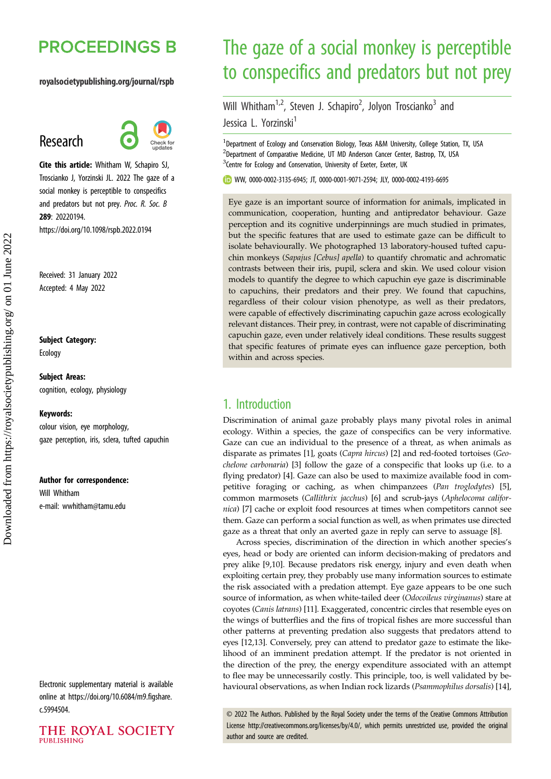# **PROCEEDINGS B**

## royalsocietypublishing.org/journal/rspb

# Research



Cite this article: Whitham W, Schapiro SJ, Troscianko J, Yorzinski JL. 2022 The gaze of a social monkey is perceptible to conspecifics and predators but not prey. Proc. R. Soc. B 289: 20220194. https://doi.org/10.1098/rspb.2022.0194

Received: 31 January 2022 Accepted: 4 May 2022

## Subject Category:

Ecology

## Subject Areas: cognition, ecology, physiology

#### Keywords:

colour vision, eye morphology, gaze perception, iris, sclera, tufted capuchin

#### Author for correspondence:

Will Whitham e-mail: [wwhitham@tamu.edu](mailto:wwhitham@tamu.edu)

Electronic supplementary material is available online at [https://doi.org/10.6084/m9.figshare.](https://doi.org/10.6084/m9.figshare.c.5994504) [c.5994504.](https://doi.org/10.6084/m9.figshare.c.5994504)



# The gaze of a social monkey is perceptible to conspecifics and predators but not prey

Will Whitham<sup>1,2</sup>, Steven J. Schapiro<sup>2</sup>, Jolyon Troscianko<sup>3</sup> and Jessica L. Yorzinski<sup>1</sup>

<sup>1</sup>Department of Ecology and Conservation Biology, Texas A&M University, College Station, TX, USA <sup>2</sup>Department of Comparative Medicine, UT MD Anderson Cancer Center, Bastrop, TX, USA <sup>3</sup> Centre for Ecology and Conservation, University of Exeter, Exeter, UK

WW, [0000-0002-3135-6945;](http://orcid.org/0000-0002-3135-6945) JT, [0000-0001-9071-2594](http://orcid.org/0000-0001-9071-2594); JLY, [0000-0002-4193-6695](http://orcid.org/0000-0002-4193-6695)

Eye gaze is an important source of information for animals, implicated in communication, cooperation, hunting and antipredator behaviour. Gaze perception and its cognitive underpinnings are much studied in primates, but the specific features that are used to estimate gaze can be difficult to isolate behaviourally. We photographed 13 laboratory-housed tufted capuchin monkeys (Sapajus [Cebus] apella) to quantify chromatic and achromatic contrasts between their iris, pupil, sclera and skin. We used colour vision models to quantify the degree to which capuchin eye gaze is discriminable to capuchins, their predators and their prey. We found that capuchins, regardless of their colour vision phenotype, as well as their predators, were capable of effectively discriminating capuchin gaze across ecologically relevant distances. Their prey, in contrast, were not capable of discriminating capuchin gaze, even under relatively ideal conditions. These results suggest that specific features of primate eyes can influence gaze perception, both within and across species.

# 1. Introduction

Discrimination of animal gaze probably plays many pivotal roles in animal ecology. Within a species, the gaze of conspecifics can be very informative. Gaze can cue an individual to the presence of a threat, as when animals as disparate as primates [\[1\]](#page-6-0), goats (Capra hircus) [\[2\]](#page-6-0) and red-footed tortoises (Geochelone carbonaria) [\[3\]](#page-6-0) follow the gaze of a conspecific that looks up (i.e. to a flying predator) [\[4\]](#page-6-0). Gaze can also be used to maximize available food in competitive foraging or caching, as when chimpanzees (Pan troglodytes) [\[5\]](#page-6-0), common marmosets (Callithrix jacchus) [\[6\]](#page-6-0) and scrub-jays (Aphelocoma califor-nica) [[7](#page-6-0)] cache or exploit food resources at times when competitors cannot see them. Gaze can perform a social function as well, as when primates use directed gaze as a threat that only an averted gaze in reply can serve to assuage [\[8\]](#page-6-0).

Across species, discrimination of the direction in which another species's eyes, head or body are oriented can inform decision-making of predators and prey alike [[9,10\]](#page-6-0). Because predators risk energy, injury and even death when exploiting certain prey, they probably use many information sources to estimate the risk associated with a predation attempt. Eye gaze appears to be one such source of information, as when white-tailed deer (Odocoileus virginanus) stare at coyotes (Canis latrans) [\[11\]](#page-7-0). Exaggerated, concentric circles that resemble eyes on the wings of butterflies and the fins of tropical fishes are more successful than other patterns at preventing predation also suggests that predators attend to eyes [[12,13\]](#page-7-0). Conversely, prey can attend to predator gaze to estimate the likelihood of an imminent predation attempt. If the predator is not oriented in the direction of the prey, the energy expenditure associated with an attempt to flee may be unnecessarily costly. This principle, too, is well validated by behavioural observations, as when Indian rock lizards (Psammophilus dorsalis) [[14\]](#page-7-0),

© 2022 The Authors. Published by the Royal Society under the terms of the Creative Commons Attribution License<http://creativecommons.org/licenses/by/4.0/>, which permits unrestricted use, provided the original author and source are credited.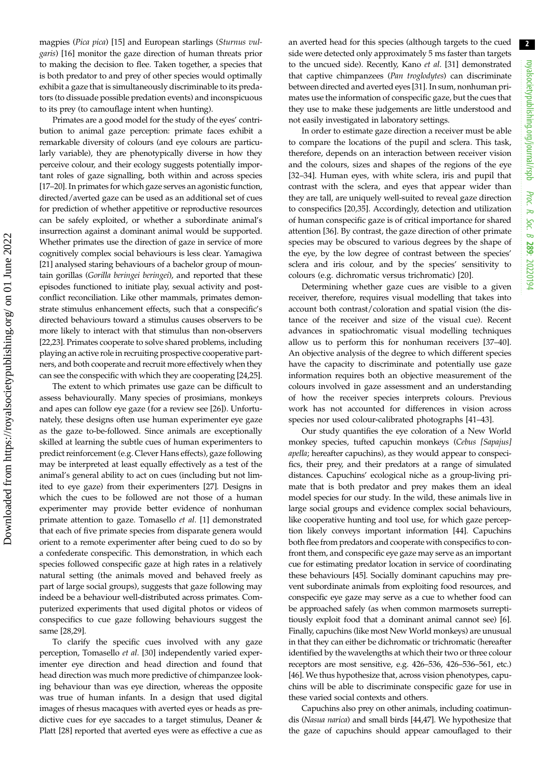magpies (Pica pica) [\[15](#page-7-0)] and European starlings (Sturnus vulgaris) [\[16\]](#page-7-0) monitor the gaze direction of human threats prior to making the decision to flee. Taken together, a species that is both predator to and prey of other species would optimally exhibit a gaze that is simultaneously discriminable to its predators (to dissuade possible predation events) and inconspicuous to its prey (to camouflage intent when hunting).

Primates are a good model for the study of the eyes' contribution to animal gaze perception: primate faces exhibit a remarkable diversity of colours (and eye colours are particularly variable), they are phenotypically diverse in how they perceive colour, and their ecology suggests potentially important roles of gaze signalling, both within and across species [\[17](#page-7-0)–[20](#page-7-0)]. In primates for which gaze serves an agonistic function, directed/averted gaze can be used as an additional set of cues for prediction of whether appetitive or reproductive resources can be safely exploited, or whether a subordinate animal's insurrection against a dominant animal would be supported. Whether primates use the direction of gaze in service of more cognitively complex social behaviours is less clear. Yamagiwa [\[21](#page-7-0)] analysed staring behaviours of a bachelor group of mountain gorillas (Gorilla beringei beringei), and reported that these episodes functioned to initiate play, sexual activity and postconflict reconciliation. Like other mammals, primates demonstrate stimulus enhancement effects, such that a conspecific's directed behaviours toward a stimulus causes observers to be more likely to interact with that stimulus than non-observers [\[22,23](#page-7-0)]. Primates cooperate to solve shared problems, including playing an active role in recruiting prospective cooperative partners, and both cooperate and recruit more effectively when they can see the conspecific with which they are cooperating [[24](#page-7-0),[25](#page-7-0)].

The extent to which primates use gaze can be difficult to assess behaviourally. Many species of prosimians, monkeys and apes can follow eye gaze (for a review see [[26\]](#page-7-0)). Unfortunately, these designs often use human experimenter eye gaze as the gaze to-be-followed. Since animals are exceptionally skilled at learning the subtle cues of human experimenters to predict reinforcement (e.g. Clever Hans effects), gaze following may be interpreted at least equally effectively as a test of the animal's general ability to act on cues (including but not limited to eye gaze) from their experimenters [[27](#page-7-0)]. Designs in which the cues to be followed are not those of a human experimenter may provide better evidence of nonhuman primate attention to gaze. Tomasello et al. [[1](#page-6-0)] demonstrated that each of five primate species from disparate genera would orient to a remote experimenter after being cued to do so by a confederate conspecific. This demonstration, in which each species followed conspecific gaze at high rates in a relatively natural setting (the animals moved and behaved freely as part of large social groups), suggests that gaze following may indeed be a behaviour well-distributed across primates. Computerized experiments that used digital photos or videos of conspecifics to cue gaze following behaviours suggest the same [\[28,29](#page-7-0)].

To clarify the specific cues involved with any gaze perception, Tomasello et al. [\[30](#page-7-0)] independently varied experimenter eye direction and head direction and found that head direction was much more predictive of chimpanzee looking behaviour than was eye direction, whereas the opposite was true of human infants. In a design that used digital images of rhesus macaques with averted eyes or heads as predictive cues for eye saccades to a target stimulus, Deaner & Platt [\[28](#page-7-0)] reported that averted eyes were as effective a cue as an averted head for this species (although targets to the cued side were detected only approximately 5 ms faster than targets to the uncued side). Recently, Kano et al. [[31\]](#page-7-0) demonstrated that captive chimpanzees (Pan troglodytes) can discriminate between directed and averted eyes [\[31\]](#page-7-0). In sum, nonhuman primates use the information of conspecific gaze, but the cues that they use to make these judgements are little understood and not easily investigated in laboratory settings.

In order to estimate gaze direction a receiver must be able to compare the locations of the pupil and sclera. This task, therefore, depends on an interaction between receiver vision and the colours, sizes and shapes of the regions of the eye [[32](#page-7-0)–[34](#page-7-0)]. Human eyes, with white sclera, iris and pupil that contrast with the sclera, and eyes that appear wider than they are tall, are uniquely well-suited to reveal gaze direction to conspecifics [[20,35](#page-7-0)]. Accordingly, detection and utilization of human conspecific gaze is of critical importance for shared attention [[36\]](#page-7-0). By contrast, the gaze direction of other primate species may be obscured to various degrees by the shape of the eye, by the low degree of contrast between the species' sclera and iris colour, and by the species' sensitivity to colours (e.g. dichromatic versus trichromatic) [[20\]](#page-7-0).

Determining whether gaze cues are visible to a given receiver, therefore, requires visual modelling that takes into account both contrast/coloration and spatial vision (the distance of the receiver and size of the visual cue). Recent advances in spatiochromatic visual modelling techniques allow us to perform this for nonhuman receivers [\[37](#page-7-0)–[40\]](#page-7-0). An objective analysis of the degree to which different species have the capacity to discriminate and potentially use gaze information requires both an objective measurement of the colours involved in gaze assessment and an understanding of how the receiver species interprets colours. Previous work has not accounted for differences in vision across species nor used colour-calibrated photographs [\[41](#page-7-0)–[43\]](#page-7-0).

Our study quantifies the eye coloration of a New World monkey species, tufted capuchin monkeys (Cebus [Sapajus] apella; hereafter capuchins), as they would appear to conspecifics, their prey, and their predators at a range of simulated distances. Capuchins' ecological niche as a group-living primate that is both predator and prey makes them an ideal model species for our study. In the wild, these animals live in large social groups and evidence complex social behaviours, like cooperative hunting and tool use, for which gaze perception likely conveys important information [\[44](#page-7-0)]. Capuchins both flee from predators and cooperate with conspecifics to confront them, and conspecific eye gaze may serve as an important cue for estimating predator location in service of coordinating these behaviours [[45\]](#page-7-0). Socially dominant capuchins may prevent subordinate animals from exploiting food resources, and conspecific eye gaze may serve as a cue to whether food can be approached safely (as when common marmosets surreptitiously exploit food that a dominant animal cannot see) [\[6\]](#page-6-0). Finally, capuchins (like most New World monkeys) are unusual in that they can either be dichromatic or trichromatic (hereafter identified by the wavelengths at which their two or three colour receptors are most sensitive, e.g. 426–536, 426–536–561, etc.) [[46](#page-7-0)]. We thus hypothesize that, across vision phenotypes, capuchins will be able to discriminate conspecific gaze for use in these varied social contexts and others.

Capuchins also prey on other animals, including coatimundis (Nasua narica) and small birds [[44,47](#page-7-0)]. We hypothesize that the gaze of capuchins should appear camouflaged to their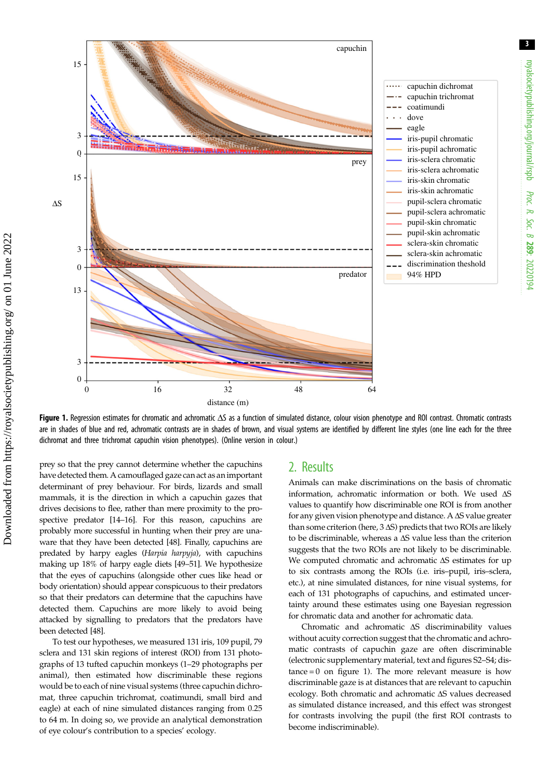<span id="page-2-0"></span>

Figure 1. Regression estimates for chromatic and achromatic ΔS as a function of simulated distance, colour vision phenotype and ROI contrast. Chromatic contrasts are in shades of blue and red, achromatic contrasts are in shades of brown, and visual systems are identified by different line styles (one line each for the three dichromat and three trichromat capuchin vision phenotypes). (Online version in colour.)

prey so that the prey cannot determine whether the capuchins have detected them. A camouflaged gaze can act as an important determinant of prey behaviour. For birds, lizards and small mammals, it is the direction in which a capuchin gazes that drives decisions to flee, rather than mere proximity to the prospective predator [\[14](#page-7-0)–[16](#page-7-0)]. For this reason, capuchins are probably more successful in hunting when their prey are unaware that they have been detected [[48\]](#page-7-0). Finally, capuchins are predated by harpy eagles (Harpia harpyja), with capuchins making up 18% of harpy eagle diets [[49](#page-7-0)–[51](#page-7-0)]. We hypothesize that the eyes of capuchins (alongside other cues like head or body orientation) should appear conspicuous to their predators so that their predators can determine that the capuchins have detected them. Capuchins are more likely to avoid being attacked by signalling to predators that the predators have been detected [\[48\]](#page-7-0).

To test our hypotheses, we measured 131 iris, 109 pupil, 79 sclera and 131 skin regions of interest (ROI) from 131 photographs of 13 tufted capuchin monkeys (1–29 photographs per animal), then estimated how discriminable these regions would be to each of nine visual systems (three capuchin dichromat, three capuchin trichromat, coatimundi, small bird and eagle) at each of nine simulated distances ranging from 0.25 to 64 m. In doing so, we provide an analytical demonstration of eye colour's contribution to a species' ecology.

# 2. Results

Animals can make discriminations on the basis of chromatic information, achromatic information or both. We used ΔS values to quantify how discriminable one ROI is from another for any given vision phenotype and distance. A ΔS value greater than some criterion (here,  $3 \Delta S$ ) predicts that two ROIs are likely to be discriminable, whereas a ΔS value less than the criterion suggests that the two ROIs are not likely to be discriminable. We computed chromatic and achromatic ΔS estimates for up to six contrasts among the ROIs (i.e. iris–pupil, iris–sclera, etc.), at nine simulated distances, for nine visual systems, for each of 131 photographs of capuchins, and estimated uncertainty around these estimates using one Bayesian regression for chromatic data and another for achromatic data.

Chromatic and achromatic ΔS discriminability values without acuity correction suggest that the chromatic and achromatic contrasts of capuchin gaze are often discriminable (electronic supplementary material, text and figures S2–S4; dis $tance = 0$  on figure 1). The more relevant measure is how discriminable gaze is at distances that are relevant to capuchin ecology. Both chromatic and achromatic ΔS values decreased as simulated distance increased, and this effect was strongest for contrasts involving the pupil (the first ROI contrasts to become indiscriminable).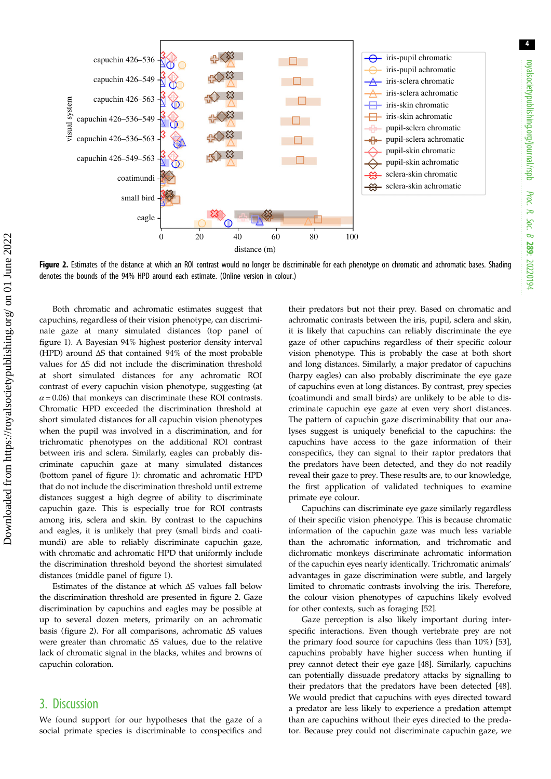

Figure 2. Estimates of the distance at which an ROI contrast would no longer be discriminable for each phenotype on chromatic and achromatic bases. Shading denotes the bounds of the 94% HPD around each estimate. (Online version in colour.)

Both chromatic and achromatic estimates suggest that capuchins, regardless of their vision phenotype, can discriminate gaze at many simulated distances (top panel of [figure 1\)](#page-2-0). A Bayesian 94% highest posterior density interval (HPD) around ΔS that contained 94% of the most probable values for ΔS did not include the discrimination threshold at short simulated distances for any achromatic ROI contrast of every capuchin vision phenotype, suggesting (at  $\alpha$  = 0.06) that monkeys can discriminate these ROI contrasts. Chromatic HPD exceeded the discrimination threshold at short simulated distances for all capuchin vision phenotypes when the pupil was involved in a discrimination, and for trichromatic phenotypes on the additional ROI contrast between iris and sclera. Similarly, eagles can probably discriminate capuchin gaze at many simulated distances (bottom panel of [figure 1](#page-2-0)): chromatic and achromatic HPD that do not include the discrimination threshold until extreme distances suggest a high degree of ability to discriminate capuchin gaze. This is especially true for ROI contrasts among iris, sclera and skin. By contrast to the capuchins and eagles, it is unlikely that prey (small birds and coatimundi) are able to reliably discriminate capuchin gaze, with chromatic and achromatic HPD that uniformly include the discrimination threshold beyond the shortest simulated distances (middle panel of [figure 1\)](#page-2-0).

Estimates of the distance at which ΔS values fall below the discrimination threshold are presented in figure 2. Gaze discrimination by capuchins and eagles may be possible at up to several dozen meters, primarily on an achromatic basis (figure 2). For all comparisons, achromatic ΔS values were greater than chromatic ΔS values, due to the relative lack of chromatic signal in the blacks, whites and browns of capuchin coloration.

# 3. Discussion

We found support for our hypotheses that the gaze of a social primate species is discriminable to conspecifics and their predators but not their prey. Based on chromatic and achromatic contrasts between the iris, pupil, sclera and skin, it is likely that capuchins can reliably discriminate the eye gaze of other capuchins regardless of their specific colour vision phenotype. This is probably the case at both short and long distances. Similarly, a major predator of capuchins (harpy eagles) can also probably discriminate the eye gaze of capuchins even at long distances. By contrast, prey species (coatimundi and small birds) are unlikely to be able to discriminate capuchin eye gaze at even very short distances. The pattern of capuchin gaze discriminability that our analyses suggest is uniquely beneficial to the capuchins: the capuchins have access to the gaze information of their conspecifics, they can signal to their raptor predators that the predators have been detected, and they do not readily reveal their gaze to prey. These results are, to our knowledge, the first application of validated techniques to examine primate eye colour.

Capuchins can discriminate eye gaze similarly regardless of their specific vision phenotype. This is because chromatic information of the capuchin gaze was much less variable than the achromatic information, and trichromatic and dichromatic monkeys discriminate achromatic information of the capuchin eyes nearly identically. Trichromatic animals' advantages in gaze discrimination were subtle, and largely limited to chromatic contrasts involving the iris. Therefore, the colour vision phenotypes of capuchins likely evolved for other contexts, such as foraging [\[52](#page-7-0)].

Gaze perception is also likely important during interspecific interactions. Even though vertebrate prey are not the primary food source for capuchins (less than 10%) [[53\]](#page-7-0), capuchins probably have higher success when hunting if prey cannot detect their eye gaze [[48\]](#page-7-0). Similarly, capuchins can potentially dissuade predatory attacks by signalling to their predators that the predators have been detected [[48\]](#page-7-0). We would predict that capuchins with eyes directed toward a predator are less likely to experience a predation attempt than are capuchins without their eyes directed to the predator. Because prey could not discriminate capuchin gaze, we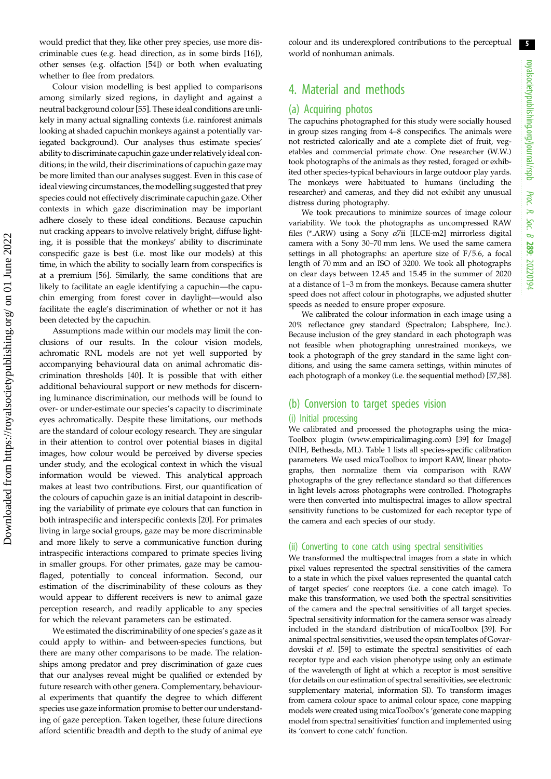would predict that they, like other prey species, use more discriminable cues (e.g. head direction, as in some birds [\[16](#page-7-0)]), other senses (e.g. olfaction [\[54](#page-8-0)]) or both when evaluating whether to flee from predators.

Colour vision modelling is best applied to comparisons among similarly sized regions, in daylight and against a neutral background colour [\[55](#page-8-0)]. These ideal conditions are unlikely in many actual signalling contexts (i.e. rainforest animals looking at shaded capuchin monkeys against a potentially variegated background). Our analyses thus estimate species' ability to discriminate capuchin gaze under relatively ideal conditions; in the wild, their discriminations of capuchin gaze may be more limited than our analyses suggest. Even in this case of ideal viewing circumstances, the modelling suggested that prey species could not effectively discriminate capuchin gaze. Other contexts in which gaze discrimination may be important adhere closely to these ideal conditions. Because capuchin nut cracking appears to involve relatively bright, diffuse lighting, it is possible that the monkeys' ability to discriminate conspecific gaze is best (i.e. most like our models) at this time, in which the ability to socially learn from conspecifics is at a premium [\[56](#page-8-0)]. Similarly, the same conditions that are likely to facilitate an eagle identifying a capuchin—the capuchin emerging from forest cover in daylight—would also facilitate the eagle's discrimination of whether or not it has been detected by the capuchin.

Assumptions made within our models may limit the conclusions of our results. In the colour vision models, achromatic RNL models are not yet well supported by accompanying behavioural data on animal achromatic discrimination thresholds [\[40](#page-7-0)]. It is possible that with either additional behavioural support or new methods for discerning luminance discrimination, our methods will be found to over- or under-estimate our species's capacity to discriminate eyes achromatically. Despite these limitations, our methods are the standard of colour ecology research. They are singular in their attention to control over potential biases in digital images, how colour would be perceived by diverse species under study, and the ecological context in which the visual information would be viewed. This analytical approach makes at least two contributions. First, our quantification of the colours of capuchin gaze is an initial datapoint in describing the variability of primate eye colours that can function in both intraspecific and interspecific contexts [\[20](#page-7-0)]. For primates living in large social groups, gaze may be more discriminable and more likely to serve a communicative function during intraspecific interactions compared to primate species living in smaller groups. For other primates, gaze may be camouflaged, potentially to conceal information. Second, our estimation of the discriminability of these colours as they would appear to different receivers is new to animal gaze perception research, and readily applicable to any species for which the relevant parameters can be estimated.

We estimated the discriminability of one species's gaze as it could apply to within- and between-species functions, but there are many other comparisons to be made. The relationships among predator and prey discrimination of gaze cues that our analyses reveal might be qualified or extended by future research with other genera. Complementary, behavioural experiments that quantify the degree to which different species use gaze information promise to better our understanding of gaze perception. Taken together, these future directions afford scientific breadth and depth to the study of animal eye colour and its underexplored contributions to the perceptual world of nonhuman animals.

# 4. Material and methods

## (a) Acquiring photos

The capuchins photographed for this study were socially housed in group sizes ranging from 4–8 conspecifics. The animals were not restricted calorically and ate a complete diet of fruit, vegetables and commercial primate chow. One researcher (W.W.) took photographs of the animals as they rested, foraged or exhibited other species-typical behaviours in large outdoor play yards. The monkeys were habituated to humans (including the researcher) and cameras, and they did not exhibit any unusual distress during photography.

We took precautions to minimize sources of image colour variability. We took the photographs as uncompressed RAW files (\*.ARW) using a Sony  $\alpha$ 7ii [ILCE-m2] mirrorless digital camera with a Sony 30–70 mm lens. We used the same camera settings in all photographs: an aperture size of F/5.6, a focal length of 70 mm and an ISO of 3200. We took all photographs on clear days between 12.45 and 15.45 in the summer of 2020 at a distance of 1–3 m from the monkeys. Because camera shutter speed does not affect colour in photographs, we adjusted shutter speeds as needed to ensure proper exposure.

We calibrated the colour information in each image using a 20% reflectance grey standard (Spectralon; Labsphere, Inc.). Because inclusion of the grey standard in each photograph was not feasible when photographing unrestrained monkeys, we took a photograph of the grey standard in the same light conditions, and using the same camera settings, within minutes of each photograph of a monkey (i.e. the sequential method) [[57,58\]](#page-8-0).

## (b) Conversion to target species vision

#### (i) Initial processing

We calibrated and processed the photographs using the mica-Toolbox plugin ([www.empiricalimaging.com](http://www.empiricalimaging.com)) [\[39](#page-7-0)] for ImageJ (NIH, Bethesda, ML). [Table 1](#page-5-0) lists all species-specific calibration parameters. We used micaToolbox to import RAW, linear photographs, then normalize them via comparison with RAW photographs of the grey reflectance standard so that differences in light levels across photographs were controlled. Photographs were then converted into multispectral images to allow spectral sensitivity functions to be customized for each receptor type of the camera and each species of our study.

#### (ii) Converting to cone catch using spectral sensitivities

We transformed the multispectral images from a state in which pixel values represented the spectral sensitivities of the camera to a state in which the pixel values represented the quantal catch of target species' cone receptors (i.e. a cone catch image). To make this transformation, we used both the spectral sensitivities of the camera and the spectral sensitivities of all target species. Spectral sensitivity information for the camera sensor was already included in the standard distribution of micaToolbox [\[39\]](#page-7-0). For animal spectral sensitivities, we used the opsin templates of Govardovskii et al. [\[59\]](#page-8-0) to estimate the spectral sensitivities of each receptor type and each vision phenotype using only an estimate of the wavelength of light at which a receptor is most sensitive (for details on our estimation of spectral sensitivities, see electronic supplementary material, information SI). To transform images from camera colour space to animal colour space, cone mapping models were created using micaToolbox's 'generate cone mapping model from spectral sensitivities' function and implemented using its 'convert to cone catch' function.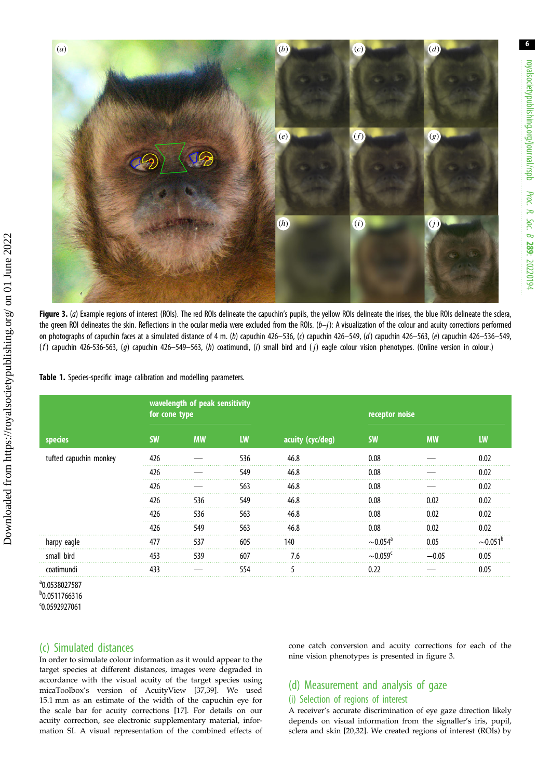<span id="page-5-0"></span>

Figure 3. (a) Example regions of interest (ROIs). The red ROIs delineate the capuchin's pupils, the yellow ROIs delineate the irises, the blue ROIs delineate the sclera, the green ROI delineates the skin. Reflections in the ocular media were excluded from the ROIs.  $(b-j)$ : A visualization of the colour and acuity corrections performed on photographs of capuchin faces at a simulated distance of 4 m. (b) capuchin 426–536, (c) capuchin 426–549, (d) capuchin 426–563, (e) capuchin 426–536–549,  $(f)$  capuchin 426-536-563, (g) capuchin 426–549–563, (h) coatimundi, (i) small bird and (j) eagle colour vision phenotypes. (Online version in colour.)

### Table 1. Species-specific image calibration and modelling parameters.

| species                | wavelength of peak sensitivity<br>for cone type |           |           |                  | receptor noise             |           |          |
|------------------------|-------------------------------------------------|-----------|-----------|------------------|----------------------------|-----------|----------|
|                        | <b>SW</b>                                       | <b>MW</b> | <b>LW</b> | acuity (cyc/deg) | <b>SW</b>                  | <b>MW</b> | LW       |
| tufted capuchin monkey | 426                                             |           | 536       | 46.8             | 0.08                       |           | 0.02     |
|                        | 426                                             |           | 549       | 46.8             | 0.08                       |           | 0.02     |
|                        | 426                                             |           | 563       | 46.8             | 0.08                       |           | 0.02     |
|                        | 426                                             | 536       | 549       | 46.8             | 0.08                       | 0.02      | 0.02     |
|                        | 426                                             | 536       | 563       | 46.8             | 0.08                       | 0.02      | 0.02     |
|                        | 426                                             | 549       | 563       | 46.8             | 0.08                       | 0.02      | 0.02     |
| harpy eagle            | 477                                             | 537       | 605       | 140              | $\sim$ 0.054 $\mathrm{^4}$ | 0.05      | $-0.051$ |
| small bird             | 453                                             | 539       | 607       | 7.6              | ${\sim}0.059^{\circ}$      | $-0.05$   | 0.05     |
| coatimundi             | 433                                             |           | 554       |                  | 0.22                       |           | 0.05     |

a 0.0538027587 b 0.0511766316

Downloaded from https://royalsocietypublishing.org/ on 01 June 2022

Downloaded from https://royalsocietypublishing.org/ on 01 June 2022

c 0.0592927061

# (c) Simulated distances

In order to simulate colour information as it would appear to the target species at different distances, images were degraded in accordance with the visual acuity of the target species using micaToolbox's version of AcuityView [\[37,39\]](#page-7-0). We used 15.1 mm as an estimate of the width of the capuchin eye for the scale bar for acuity corrections [[17](#page-7-0)]. For details on our acuity correction, see electronic supplementary material, information SI. A visual representation of the combined effects of

cone catch conversion and acuity corrections for each of the nine vision phenotypes is presented in figure 3.

# (d) Measurement and analysis of gaze

# (i) Selection of regions of interest

A receiver's accurate discrimination of eye gaze direction likely depends on visual information from the signaller's iris, pupil, sclera and skin [\[20,32](#page-7-0)]. We created regions of interest (ROIs) by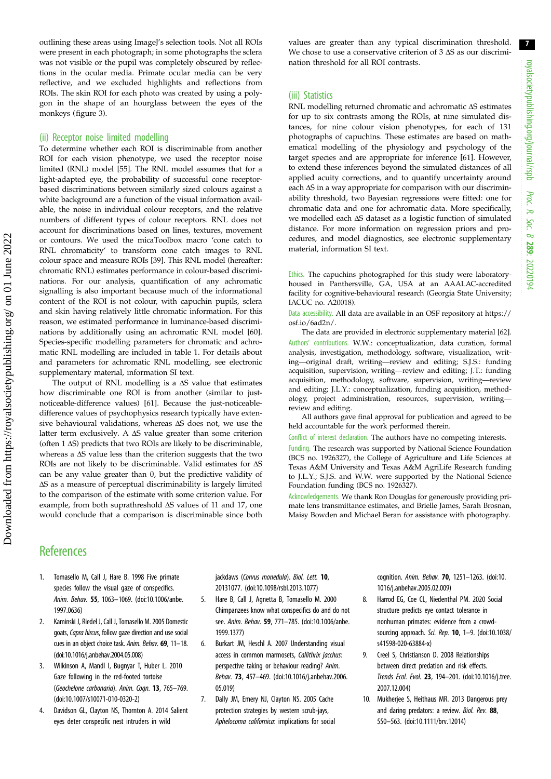<span id="page-6-0"></span>outlining these areas using ImageJ's selection tools. Not all ROIs were present in each photograph; in some photographs the sclera was not visible or the pupil was completely obscured by reflections in the ocular media. Primate ocular media can be very reflective, and we excluded highlights and reflections from ROIs. The skin ROI for each photo was created by using a polygon in the shape of an hourglass between the eyes of the monkeys [\(figure 3](#page-5-0)).

## (ii) Receptor noise limited modelling

To determine whether each ROI is discriminable from another ROI for each vision phenotype, we used the receptor noise limited (RNL) model [\[55\]](#page-8-0). The RNL model assumes that for a light-adapted eye, the probability of successful cone receptorbased discriminations between similarly sized colours against a white background are a function of the visual information available, the noise in individual colour receptors, and the relative numbers of different types of colour receptors. RNL does not account for discriminations based on lines, textures, movement or contours. We used the micaToolbox macro 'cone catch to RNL chromaticity' to transform cone catch images to RNL colour space and measure ROIs [\[39](#page-7-0)]. This RNL model (hereafter: chromatic RNL) estimates performance in colour-based discriminations. For our analysis, quantification of any achromatic signalling is also important because much of the informational content of the ROI is not colour, with capuchin pupils, sclera and skin having relatively little chromatic information. For this reason, we estimated performance in luminance-based discriminations by additionally using an achromatic RNL model [\[60\]](#page-8-0). Species-specific modelling parameters for chromatic and achromatic RNL modelling are included in [table 1.](#page-5-0) For details about and parameters for achromatic RNL modelling, see electronic supplementary material, information SI text.

The output of RNL modelling is a  $\Delta S$  value that estimates how discriminable one ROI is from another (similar to justnoticeable-difference values) [\[61\]](#page-8-0). Because the just-noticeabledifference values of psychophysics research typically have extensive behavioural validations, whereas ΔS does not, we use the latter term exclusively. A  $\Delta S$  value greater than some criterion (often 1 ΔS) predicts that two ROIs are likely to be discriminable, whereas a ΔS value less than the criterion suggests that the two ROIs are not likely to be discriminable. Valid estimates for ΔS can be any value greater than 0, but the predictive validity of ΔS as a measure of perceptual discriminability is largely limited to the comparison of the estimate with some criterion value. For example, from both suprathreshold ΔS values of 11 and 17, one would conclude that a comparison is discriminable since both values are greater than any typical discrimination threshold. We chose to use a conservative criterion of 3 ΔS as our discrimination threshold for all ROI contrasts.

## (iii) Statistics

RNL modelling returned chromatic and achromatic ΔS estimates for up to six contrasts among the ROIs, at nine simulated distances, for nine colour vision phenotypes, for each of 131 photographs of capuchins. These estimates are based on mathematical modelling of the physiology and psychology of the target species and are appropriate for inference [\[61\]](#page-8-0). However, to extend these inferences beyond the simulated distances of all applied acuity corrections, and to quantify uncertainty around each ΔS in a way appropriate for comparison with our discriminability threshold, two Bayesian regressions were fitted: one for chromatic data and one for achromatic data. More specifically, we modelled each ΔS dataset as a logistic function of simulated distance. For more information on regression priors and procedures, and model diagnostics, see electronic supplementary material, information SI text.

Ethics. The capuchins photographed for this study were laboratoryhoused in Panthersville, GA, USA at an AAALAC-accredited facility for cognitive-behavioural research (Georgia State University; IACUC no. A20018).

Data accessibility. All data are available in an OSF repository at [https://](https://osf.io/6ad2n/) [osf.io/6ad2n/.](https://osf.io/6ad2n/)

The data are provided in electronic supplementary material [\[62](#page-8-0)]. Authors' contributions. W.W.: conceptualization, data curation, formal analysis, investigation, methodology, software, visualization, writing—original draft, writing—review and editing; S.J.S.: funding acquisition, supervision, writing—review and editing; J.T.: funding acquisition, methodology, software, supervision, writing—review and editing; J.L.Y.: conceptualization, funding acquisition, methodology, project administration, resources, supervision, writing review and editing.

All authors gave final approval for publication and agreed to be held accountable for the work performed therein.

Conflict of interest declaration. The authors have no competing interests.

Funding. The research was supported by National Science Foundation (BCS no. 1926327), the College of Agriculture and Life Sciences at Texas A&M University and Texas A&M AgriLife Research funding to J.L.Y.; S.J.S. and W.W. were supported by the National Science Foundation funding (BCS no. 1926327).

Acknowledgements. We thank Ron Douglas for generously providing primate lens transmittance estimates, and Brielle James, Sarah Brosnan, Maisy Bowden and Michael Beran for assistance with photography.

# **References**

- 1. Tomasello M, Call J, Hare B. 1998 Five primate species follow the visual gaze of conspecifics. Anim. Behav. 55, 1063–1069. [\(doi:10.1006/anbe.](http://dx.doi.org/10.1006/anbe.1997.0636) [1997.0636\)](http://dx.doi.org/10.1006/anbe.1997.0636)
- 2. Kaminski J, Riedel J, Call J, Tomasello M. 2005 Domestic goats, Capra hircus, follow gaze direction and use social cues in an object choice task. Anim. Behav. 69, 11–18. [\(doi:10.1016/j.anbehav.2004.05.008](https://doi.org/10.1016/j.anbehav.2004.05.008))
- 3. Wilkinson A, Mandl I, Bugnyar T, Huber L. 2010 Gaze following in the red-footed tortoise (Geochelone carbonaria). Anim. Cogn. 13, 765–769. [\(doi:10.1007/s10071-010-0320-2\)](http://dx.doi.org/10.1007/s10071-010-0320-2)
- 4. Davidson GL, Clayton NS, Thornton A. 2014 Salient eyes deter conspecific nest intruders in wild

jackdaws (Corvus monedula). Biol. Lett. 10, 20131077. ([doi:10.1098/rsbl.2013.1077\)](http://dx.doi.org/10.1098/rsbl.2013.1077)

- 5. Hare B, Call J, Agnetta B, Tomasello M. 2000 Chimpanzees know what conspecifics do and do not see. Anim. Behav. 59, 771–785. [\(doi:10.1006/anbe.](http://dx.doi.org/10.1006/anbe.1999.1377) [1999.1377\)](http://dx.doi.org/10.1006/anbe.1999.1377)
- 6. Burkart JM, Heschl A. 2007 Understanding visual access in common marmosets, Callithrix jacchus: perspective taking or behaviour reading? Anim. Behav. 73, 457–469. ([doi:10.1016/j.anbehav.2006.](http://dx.doi.org/10.1016/j.anbehav.2006.05.019) [05.019](http://dx.doi.org/10.1016/j.anbehav.2006.05.019))
- 7. Dally JM, Emery NJ, Clayton NS. 2005 Cache protection strategies by western scrub-jays, Aphelocoma californica: implications for social

cognition. Anim. Behav. 70, 1251–1263. [\(doi:10.](http://dx.doi.org/10.1016/j.anbehav.2005.02.009) [1016/j.anbehav.2005.02.009\)](http://dx.doi.org/10.1016/j.anbehav.2005.02.009)

- 8. Harrod EG, Coe CL, Niedenthal PM. 2020 Social structure predicts eye contact tolerance in nonhuman primates: evidence from a crowdsourcing approach. Sci. Rep. **10**, 1-9. [\(doi:10.1038/](http://dx.doi.org/10.1038/s41598-020-63884-x) [s41598-020-63884-x](http://dx.doi.org/10.1038/s41598-020-63884-x))
- 9. Creel S, Christianson D. 2008 Relationships between direct predation and risk effects. Trends Ecol. Evol. 23, 194–201. [\(doi:10.1016/j.tree.](http://dx.doi.org/10.1016/j.tree.2007.12.004) [2007.12.004](http://dx.doi.org/10.1016/j.tree.2007.12.004))
- 10. Mukherjee S, Heithaus MR. 2013 Dangerous prey and daring predators: a review. Biol. Rev. 88, 550–563. [\(doi:10.1111/brv.12014](http://dx.doi.org/10.1111/brv.12014))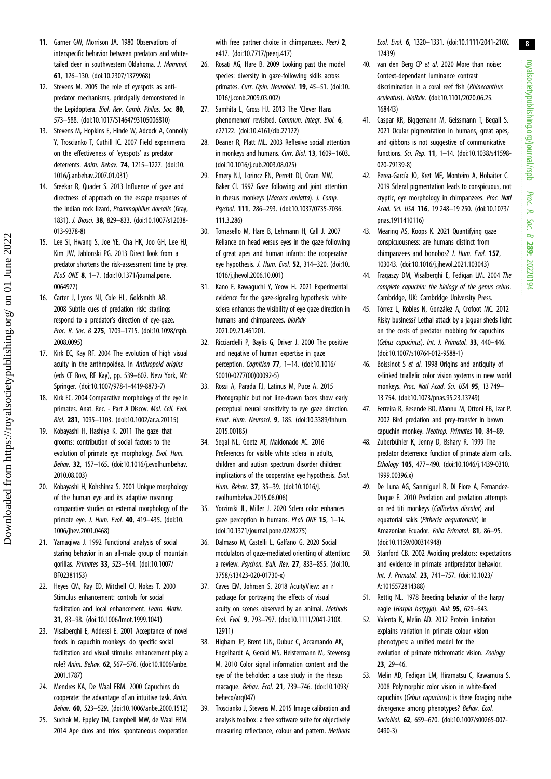royalsocietypublishing.org/journal/rspb royalsocietypublishing.org/journal/rspb Proc. R. Soc. $\sigma$ 289: 20220194

8

- <span id="page-7-0"></span>11. Garner GW, Morrison JA. 1980 Observations of interspecific behavior between predators and whitetailed deer in southwestern Oklahoma. J. Mammal. 61, 126–130. ([doi:10.2307/1379968](https://doi.org/10.2307/1379968))
- 12. Stevens M. 2005 The role of eyespots as antipredator mechanisms, principally demonstrated in the Lepidoptera. Biol. Rev. Camb. Philos. Soc. 80, 573–588. ([doi:10.1017/S1464793105006810](http://dx.doi.org/10.1017/S1464793105006810))
- 13. Stevens M, Hopkins E, Hinde W, Adcock A, Connolly Y, Troscianko T, Cuthill IC. 2007 Field experiments on the effectiveness of 'eyespots' as predator deterrents. Anim. Behav. 74, 1215–1227. ([doi:10.](http://dx.doi.org/10.1016/j.anbehav.2007.01.031) [1016/j.anbehav.2007.01.031\)](http://dx.doi.org/10.1016/j.anbehav.2007.01.031)
- 14. Sreekar R, Quader S. 2013 Influence of gaze and directness of approach on the escape responses of the Indian rock lizard, Psammophilus dorsalis (Gray, 1831). J. Biosci. 38, 829–833. ([doi:10.1007/s12038-](http://dx.doi.org/10.1007/s12038-013-9378-8) [013-9378-8\)](http://dx.doi.org/10.1007/s12038-013-9378-8)
- 15. Lee SI, Hwang S, Joe YE, Cha HK, Joo GH, Lee HJ, Kim JW, Jablonski PG. 2013 Direct look from a predator shortens the risk-assessment time by prey. PLoS ONE 8, 1-7. [\(doi:10.1371/journal.pone.](http://dx.doi.org/10.1371/journal.pone.0064977) [0064977\)](http://dx.doi.org/10.1371/journal.pone.0064977)
- 16. Carter J, Lyons NJ, Cole HL, Goldsmith AR. 2008 Subtle cues of predation risk: starlings respond to a predator's direction of eye-gaze. Proc. R. Soc. B 275, 1709-1715. [\(doi:10.1098/rspb.](http://dx.doi.org/10.1098/rspb.2008.0095) [2008.0095\)](http://dx.doi.org/10.1098/rspb.2008.0095)
- 17. Kirk EC, Kay RF. 2004 The evolution of high visual acuity in the anthropoidea. In Anthropoid origins (eds CF Ross, RF Kay), pp. 539–602. New York, NY: Springer. [\(doi:10.1007/978-1-4419-8873-7\)](https://doi.org/(doi:10.1007/978-1-4419-8873-7))
- 18. Kirk EC. 2004 Comparative morphology of the eye in primates. Anat. Rec. - Part A Discov. Mol. Cell. Evol. Biol. 281, 1095–1103. [\(doi:10.1002/ar.a.20115\)](http://dx.doi.org/10.1002/ar.a.20115)
- 19. Kobayashi H, Hashiya K. 2011 The gaze that grooms: contribution of social factors to the evolution of primate eye morphology. Evol. Hum. Behav. 32, 157–165. ([doi:10.1016/j.evolhumbehav.](http://dx.doi.org/10.1016/j.evolhumbehav.2010.08.003) [2010.08.003\)](http://dx.doi.org/10.1016/j.evolhumbehav.2010.08.003)
- 20. Kobayashi H, Kohshima S. 2001 Unique morphology of the human eye and its adaptive meaning: comparative studies on external morphology of the primate eye. J. Hum. Evol. 40, 419–435. ([doi:10.](http://dx.doi.org/10.1006/jhev.2001.0468) [1006/jhev.2001.0468\)](http://dx.doi.org/10.1006/jhev.2001.0468)
- 21. Yamagiwa J. 1992 Functional analysis of social staring behavior in an all-male group of mountain gorillas. Primates 33, 523–544. ([doi:10.1007/](http://dx.doi.org/10.1007/BF02381153) [BF02381153\)](http://dx.doi.org/10.1007/BF02381153)
- 22. Heyes CM, Ray ED, Mitchell CJ, Nokes T. 2000 Stimulus enhancement: controls for social facilitation and local enhancement. *Learn. Motiv.* 31, 83–98. [\(doi:10.1006/lmot.1999.1041\)](http://dx.doi.org/10.1006/lmot.1999.1041)
- 23. Visalberghi E, Addessi E. 2001 Acceptance of novel foods in capuchin monkeys: do specific social facilitation and visual stimulus enhancement play a role? Anim. Behav. 62, 567–576. [\(doi:10.1006/anbe.](http://dx.doi.org/10.1006/anbe.2001.1787) [2001.1787\)](http://dx.doi.org/10.1006/anbe.2001.1787)
- 24. Mendres KA, De Waal FBM. 2000 Capuchins do cooperate: the advantage of an intuitive task. Anim. Behav. 60, 523–529. ([doi:10.1006/anbe.2000.1512\)](http://dx.doi.org/10.1006/anbe.2000.1512)
- 25. Suchak M, Eppley TM, Campbell MW, de Waal FBM. 2014 Ape duos and trios: spontaneous cooperation

with free partner choice in chimpanzees. PeerJ 2, e417. [\(doi:10.7717/peerj.417](http://dx.doi.org/10.7717/peerj.417))

- 26. Rosati AG, Hare B. 2009 Looking past the model species: diversity in gaze-following skills across primates. Curr. Opin. Neurobiol. 19, 45-51. [\(doi:10.](http://dx.doi.org/10.1016/j.conb.2009.03.002) [1016/j.conb.2009.03.002\)](http://dx.doi.org/10.1016/j.conb.2009.03.002)
- 27. Samhita L, Gross HJ. 2013 The 'Clever Hans phenomenon' revisited. Commun. Integr. Biol. 6, e27122. ([doi:10.4161/cib.27122\)](https://doi.org/10.4161/cib.27122)
- 28. Deaner R, Platt ML. 2003 Reflexive social attention in monkeys and humans. Curr. Biol. 13, 1609-1603. [\(doi:10.1016/j.cub.2003.08.025](http://dx.doi.org/10.1016/j.cub.2003.08.025))
- 29. Emery NJ, Lorincz EN, Perrett DI, Oram MW, Baker CI. 1997 Gaze following and joint attention in rhesus monkeys (Macaca mulatta). J. Comp. Psychol. 111, 286–293. ([doi:10.1037/0735-7036.](http://dx.doi.org/10.1037/0735-7036.111.3.286) [111.3.286\)](http://dx.doi.org/10.1037/0735-7036.111.3.286)
- 30. Tomasello M, Hare B, Lehmann H, Call J. 2007 Reliance on head versus eyes in the gaze following of great apes and human infants: the cooperative eye hypothesis. J. Hum. Evol. 52, 314-320. [\(doi:10.](http://dx.doi.org/10.1016/j.jhevol.2006.10.001) [1016/j.jhevol.2006.10.001](http://dx.doi.org/10.1016/j.jhevol.2006.10.001))
- 31. Kano F, Kawaguchi Y, Yeow H. 2021 Experimental evidence for the gaze-signaling hypothesis: white sclera enhances the visibility of eye gaze direction in humans and chimpanzees. bioRxiv 2021.09.21.461201.
- 32. Ricciardelli P, Baylis G, Driver J. 2000 The positive and negative of human expertise in gaze perception. Cognition 77, 1–14. [\(doi:10.1016/](http://dx.doi.org/10.1016/S0010-0277(00)00092-5) [S0010-0277\(00\)00092-5](http://dx.doi.org/10.1016/S0010-0277(00)00092-5))
- 33. Rossi A, Parada FJ, Latinus M, Puce A. 2015 Photographic but not line-drawn faces show early perceptual neural sensitivity to eye gaze direction. Front. Hum. Neurosci. 9, 185. ([doi:10.3389/fnhum.](http://dx.doi.org/10.3389/fnhum.2015.00185) [2015.00185\)](http://dx.doi.org/10.3389/fnhum.2015.00185)
- 34. Segal NL, Goetz AT, Maldonado AC. 2016 Preferences for visible white sclera in adults, children and autism spectrum disorder children: implications of the cooperative eye hypothesis. Evol. Hum. Behav. 37, 35–39. [\(doi:10.1016/j.](http://dx.doi.org/10.1016/j.evolhumbehav.2015.06.006) [evolhumbehav.2015.06.006\)](http://dx.doi.org/10.1016/j.evolhumbehav.2015.06.006)
- 35. Yorzinski JL, Miller J. 2020 Sclera color enhances gaze perception in humans. PLoS ONE 15, 1-14. [\(doi:10.1371/journal.pone.0228275\)](http://dx.doi.org/10.1371/journal.pone.0228275)
- 36. Dalmaso M, Castelli L, Galfano G. 2020 Social modulators of gaze-mediated orienting of attention: a review. Psychon. Bull. Rev. 27, 833–855. [\(doi:10.](http://dx.doi.org/10.3758/s13423-020-01730-x) [3758/s13423-020-01730-x\)](http://dx.doi.org/10.3758/s13423-020-01730-x)
- 37. Caves EM, Johnsen S. 2018 AcuityView: an r package for portraying the effects of visual acuity on scenes observed by an animal. Methods Ecol. Evol. 9, 793–797. ([doi:10.1111/2041-210X.](http://dx.doi.org/10.1111/2041-210X.12911) [12911\)](http://dx.doi.org/10.1111/2041-210X.12911)
- 38. Higham JP, Brent LJN, Dubuc C, Accamando AK, Engelhardt A, Gerald MS, Heistermann M, Stevensg M. 2010 Color signal information content and the eye of the beholder: a case study in the rhesus macaque. Behav. Ecol. 21, 739–746. [\(doi:10.1093/](http://dx.doi.org/10.1093/beheco/arq047) [beheco/arq047\)](http://dx.doi.org/10.1093/beheco/arq047)
- 39. Troscianko J, Stevens M. 2015 Image calibration and analysis toolbox: a free software suite for objectively measuring reflectance, colour and pattern. Methods

Ecol. Evol. 6, 1320–1331. [\(doi:10.1111/2041-210X.](https://doi.org/10.1111/2041-210X.12439) [12439\)](https://doi.org/10.1111/2041-210X.12439)

- 40. van den Berg CP et al. 2020 More than noise: Context-dependant luminance contrast discrimination in a coral reef fish (Rhinecanthus aculeatus). bioRxiv. ([doi:10.1101/2020.06.25.](http://dx.doi.org/10.1101/2020.06.25.168443) [168443\)](http://dx.doi.org/10.1101/2020.06.25.168443)
- 41. Caspar KR, Biggemann M, Geissmann T, Begall S. 2021 Ocular pigmentation in humans, great apes, and gibbons is not suggestive of communicative functions. Sci. Rep. 11, 1–14. [\(doi:10.1038/s41598-](http://dx.doi.org/10.1038/s41598-020-79139-8) [020-79139-8\)](http://dx.doi.org/10.1038/s41598-020-79139-8)
- 42. Perea-García JO, Kret ME, Monteiro A, Hobaiter C. 2019 Scleral pigmentation leads to conspicuous, not cryptic, eye morphology in chimpanzees. Proc. Natl Acad. Sci. USA 116, 19 248–19 250. ([doi:10.1073/](http://dx.doi.org/10.1073/pnas.1911410116) [pnas.1911410116\)](http://dx.doi.org/10.1073/pnas.1911410116)
- 43. Mearing AS, Koops K. 2021 Quantifying gaze conspicuousness: are humans distinct from chimpanzees and bonobos? J. Hum. Evol. 157, 103043. ([doi:10.1016/j.jhevol.2021.103043](http://dx.doi.org/10.1016/j.jhevol.2021.103043))
- 44. Fragaszy DM, Visalberghi E, Fedigan LM. 2004 The complete capuchin: the biology of the genus cebus. Cambridge, UK: Cambridge University Press.
- 45. Tórrez L, Robles N, González A, Crofoot MC. 2012 Risky business? Lethal attack by a jaguar sheds light on the costs of predator mobbing for capuchins (Cebus capucinus). Int. J. Primatol. 33, 440–446. ([doi:10.1007/s10764-012-9588-1](http://dx.doi.org/10.1007/s10764-012-9588-1))
- 46. Boissinot S et al. 1998 Origins and antiquity of x-linked triallelic color vision systems in new world monkeys. Proc. Natl Acad. Sci. USA 95, 13 749– 13 754. [\(doi:10.1073/pnas.95.23.13749](http://dx.doi.org/10.1073/pnas.95.23.13749))
- 47. Ferreira R, Resende BD, Mannu M, Ottoni EB, Izar P. 2002 Bird predation and prey-transfer in brown capuchin monkey. Neotrop. Primates 10, 84–89.
- 48. Zuberbühler K, Jenny D, Bshary R. 1999 The predator deterrence function of primate alarm calls. Ethology 105, 477–490. ([doi:10.1046/j.1439-0310.](http://dx.doi.org/10.1046/j.1439-0310.1999.00396.x) [1999.00396.x](http://dx.doi.org/10.1046/j.1439-0310.1999.00396.x))
- 49. De Luna AG, Sanmiguel R, Di Fiore A, Fernandez-Duque E. 2010 Predation and predation attempts on red titi monkeys (Callicebus discolor) and equatorial sakis (Pithecia aequatorialis) in Amazonian Ecuador. Folia Primatol. 81, 86–95. ([doi:10.1159/000314948\)](http://dx.doi.org/10.1159/000314948)
- 50. Stanford CB. 2002 Avoiding predators: expectations and evidence in primate antipredator behavior. Int. J. Primatol. 23, 741–757. ([doi:10.1023/](http://dx.doi.org/10.1023/A:1015572814388) [A:1015572814388](http://dx.doi.org/10.1023/A:1015572814388))
- 51. Rettig NL. 1978 Breeding behavior of the harpy eagle (Harpia harpyja). Auk 95, 629-643.
- 52. Valenta K, Melin AD. 2012 Protein limitation explains variation in primate colour vision phenotypes: a unified model for the evolution of primate trichromatic vision. Zoology 23, 29–46.
- 53. Melin AD, Fedigan LM, Hiramatsu C, Kawamura S. 2008 Polymorphic color vision in white-faced capuchins (Cebus capucinus): is there foraging niche divergence among phenotypes? Behav. Ecol. Sociobiol. 62, 659–670. ([doi:10.1007/s00265-007-](http://dx.doi.org/10.1007/s00265-007-0490-3) [0490-3](http://dx.doi.org/10.1007/s00265-007-0490-3))